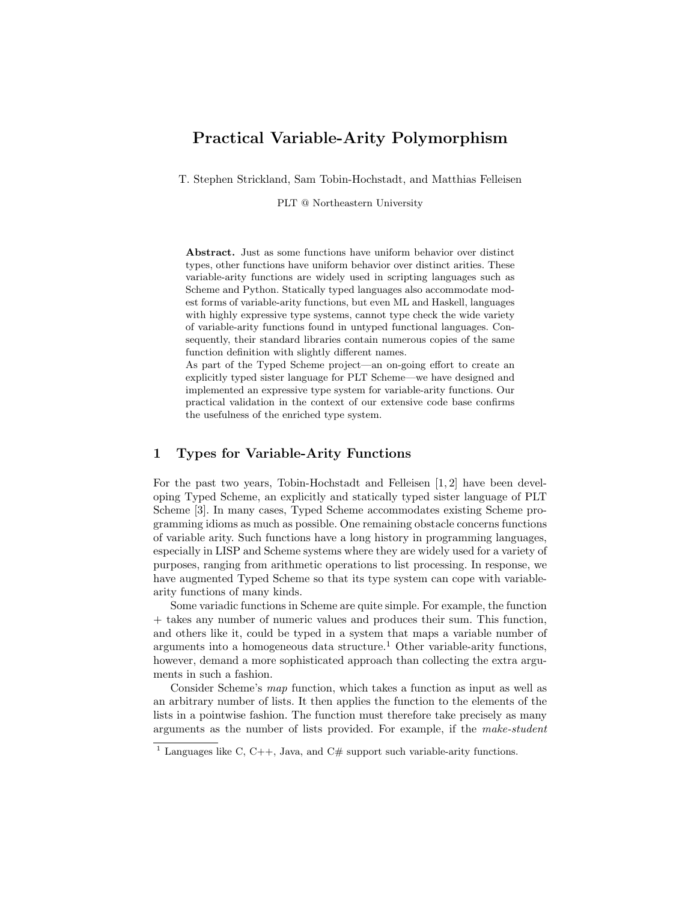# Practical Variable-Arity Polymorphism

T. Stephen Strickland, Sam Tobin-Hochstadt, and Matthias Felleisen

PLT @ Northeastern University

Abstract. Just as some functions have uniform behavior over distinct types, other functions have uniform behavior over distinct arities. These variable-arity functions are widely used in scripting languages such as Scheme and Python. Statically typed languages also accommodate modest forms of variable-arity functions, but even ML and Haskell, languages with highly expressive type systems, cannot type check the wide variety of variable-arity functions found in untyped functional languages. Consequently, their standard libraries contain numerous copies of the same function definition with slightly different names.

As part of the Typed Scheme project—an on-going effort to create an explicitly typed sister language for PLT Scheme—we have designed and implemented an expressive type system for variable-arity functions. Our practical validation in the context of our extensive code base confirms the usefulness of the enriched type system.

# 1 Types for Variable-Arity Functions

For the past two years, Tobin-Hochstadt and Felleisen [1, 2] have been developing Typed Scheme, an explicitly and statically typed sister language of PLT Scheme [3]. In many cases, Typed Scheme accommodates existing Scheme programming idioms as much as possible. One remaining obstacle concerns functions of variable arity. Such functions have a long history in programming languages, especially in LISP and Scheme systems where they are widely used for a variety of purposes, ranging from arithmetic operations to list processing. In response, we have augmented Typed Scheme so that its type system can cope with variablearity functions of many kinds.

Some variadic functions in Scheme are quite simple. For example, the function + takes any number of numeric values and produces their sum. This function, and others like it, could be typed in a system that maps a variable number of arguments into a homogeneous data structure.<sup>1</sup> Other variable-arity functions, however, demand a more sophisticated approach than collecting the extra arguments in such a fashion.

Consider Scheme's map function, which takes a function as input as well as an arbitrary number of lists. It then applies the function to the elements of the lists in a pointwise fashion. The function must therefore take precisely as many arguments as the number of lists provided. For example, if the make-student

<sup>&</sup>lt;sup>1</sup> Languages like C, C++, Java, and C# support such variable-arity functions.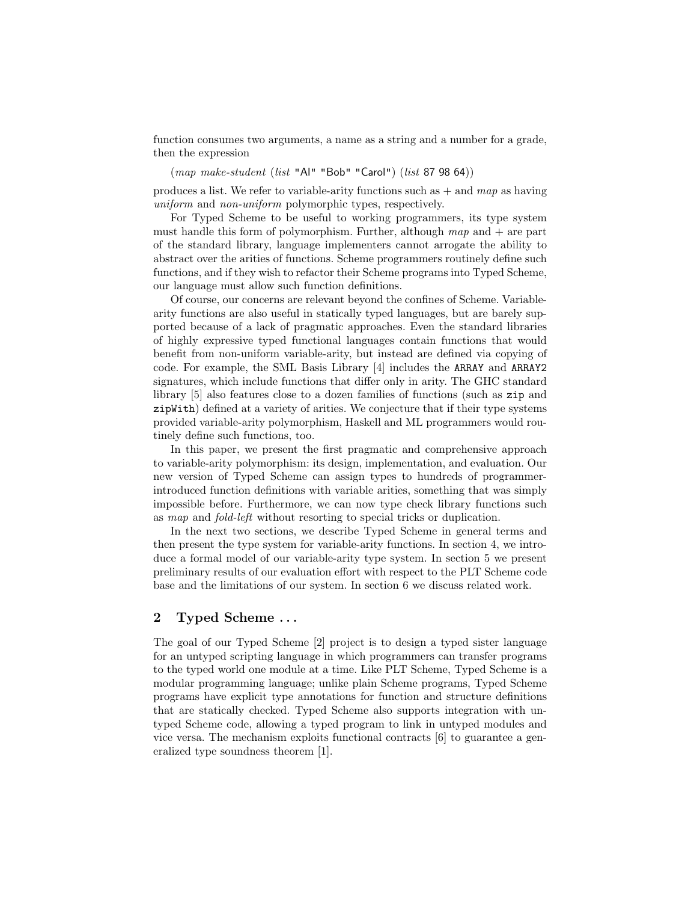function consumes two arguments, a name as a string and a number for a grade, then the expression

(map make-student (list "Al" "Bob" "Carol") (list 87 98 64))

produces a list. We refer to variable-arity functions such as  $+$  and  $map$  as having uniform and non-uniform polymorphic types, respectively.

For Typed Scheme to be useful to working programmers, its type system must handle this form of polymorphism. Further, although  $map$  and  $+$  are part of the standard library, language implementers cannot arrogate the ability to abstract over the arities of functions. Scheme programmers routinely define such functions, and if they wish to refactor their Scheme programs into Typed Scheme, our language must allow such function definitions.

Of course, our concerns are relevant beyond the confines of Scheme. Variablearity functions are also useful in statically typed languages, but are barely supported because of a lack of pragmatic approaches. Even the standard libraries of highly expressive typed functional languages contain functions that would benefit from non-uniform variable-arity, but instead are defined via copying of code. For example, the SML Basis Library [4] includes the ARRAY and ARRAY2 signatures, which include functions that differ only in arity. The GHC standard library [5] also features close to a dozen families of functions (such as zip and zipWith) defined at a variety of arities. We conjecture that if their type systems provided variable-arity polymorphism, Haskell and ML programmers would routinely define such functions, too.

In this paper, we present the first pragmatic and comprehensive approach to variable-arity polymorphism: its design, implementation, and evaluation. Our new version of Typed Scheme can assign types to hundreds of programmerintroduced function definitions with variable arities, something that was simply impossible before. Furthermore, we can now type check library functions such as map and fold-left without resorting to special tricks or duplication.

In the next two sections, we describe Typed Scheme in general terms and then present the type system for variable-arity functions. In section 4, we introduce a formal model of our variable-arity type system. In section 5 we present preliminary results of our evaluation effort with respect to the PLT Scheme code base and the limitations of our system. In section 6 we discuss related work.

# 2 Typed Scheme . . .

The goal of our Typed Scheme [2] project is to design a typed sister language for an untyped scripting language in which programmers can transfer programs to the typed world one module at a time. Like PLT Scheme, Typed Scheme is a modular programming language; unlike plain Scheme programs, Typed Scheme programs have explicit type annotations for function and structure definitions that are statically checked. Typed Scheme also supports integration with untyped Scheme code, allowing a typed program to link in untyped modules and vice versa. The mechanism exploits functional contracts [6] to guarantee a generalized type soundness theorem [1].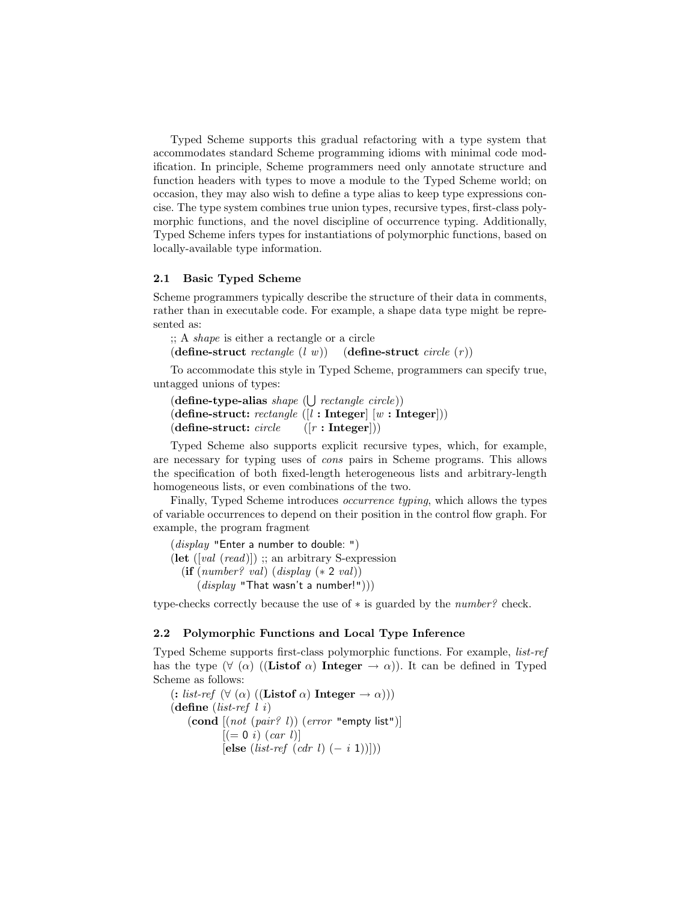Typed Scheme supports this gradual refactoring with a type system that accommodates standard Scheme programming idioms with minimal code modification. In principle, Scheme programmers need only annotate structure and function headers with types to move a module to the Typed Scheme world; on occasion, they may also wish to define a type alias to keep type expressions concise. The type system combines true union types, recursive types, first-class polymorphic functions, and the novel discipline of occurrence typing. Additionally, Typed Scheme infers types for instantiations of polymorphic functions, based on locally-available type information.

### 2.1 Basic Typed Scheme

Scheme programmers typically describe the structure of their data in comments, rather than in executable code. For example, a shape data type might be represented as:

;; A shape is either a rectangle or a circle

(define-struct rectangle  $(l w)$ ) (define-struct circle  $(r)$ )

To accommodate this style in Typed Scheme, programmers can specify true, untagged unions of types:

 $(\text{define-type-alias shape } (U \text{ rectangle circle}) )$ (define-struct:  $rectangle([l:Integer] [w:Integer]))$  $(\text{define-struct: } circle \quad ([r : \text{Integer}]))$ 

Typed Scheme also supports explicit recursive types, which, for example, are necessary for typing uses of cons pairs in Scheme programs. This allows the specification of both fixed-length heterogeneous lists and arbitrary-length homogeneous lists, or even combinations of the two.

Finally, Typed Scheme introduces occurrence typing, which allows the types of variable occurrences to depend on their position in the control flow graph. For example, the program fragment

 $(display$  "Enter a number to double: ")

 $(\text{let } ([val (read)]))$  ;; an arbitrary S-expression

(if  $(number? val)$  (display  $(* 2 val)$ )

 $(display \texttt "That wasn't a number!"))$ 

type-checks correctly because the use of ∗ is guarded by the number? check.

### 2.2 Polymorphic Functions and Local Type Inference

Typed Scheme supports first-class polymorphic functions. For example, list-ref has the type  $(\forall (\alpha) ((\textbf{Listof }\alpha) \textbf{Integer } \rightarrow \alpha))$ . It can be defined in Typed Scheme as follows:

(: list-ref  $(\forall (\alpha) ((\text{Listof }\alpha) \text{ Integer } \rightarrow \alpha)))$ (define  $(list-ref \ l \ i)$ (cond  $[(not (pair? 1)) (error "empty list")]$  $[ (= 0 i) (car l)]$  $[else (list-ref (cdr l) (- i 1))]))$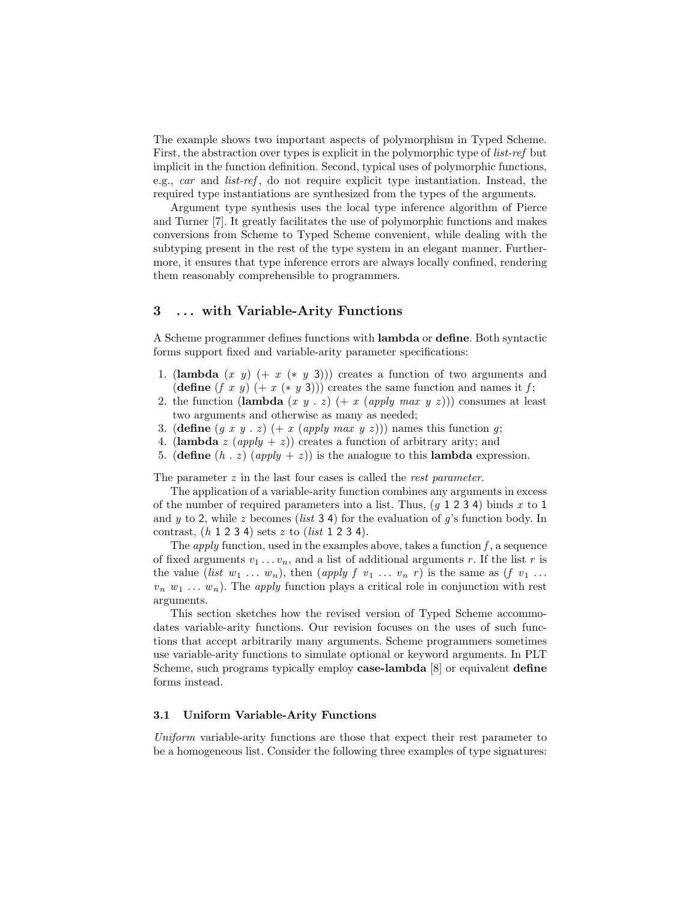The example shows two important aspects of polymorphism in Typed Scheme. First, the abstraction over types is explicit in the polymorphic type of list-ref but implicit in the function definition. Second, typical uses of polymorphic functions, e.g., car and *list-ref*, do not require explicit type instantiation. Instead, the required type instantiations are synthesized from the types of the arguments.

Argument type synthesis uses the local type inference algorithm of Pierce and Turner [7]. It greatly facilitates the use of polymorphic functions and makes conversions from Scheme to Typed Scheme convenient, while dealing with the subtyping present in the rest of the type system in an elegant manner. Furthermore, it ensures that type inference errors are always locally confined, rendering them reasonably comprehensible to programmers.

# 3 ... with Variable-Arity Functions

A Scheme programmer defines functions with lambda or define. Both syntactic forms support fixed and variable-arity parameter specifications:

- 1. (lambda  $(x, y)$   $(+ x (* y 3))$ ) creates a function of two arguments and (define  $(f x y)$   $(+ x (* y 3))$ ) creates the same function and names it f;
- 2. the function (lambda  $(x, y, z)$   $(+ x (apply max, y z))$ ) consumes at least two arguments and otherwise as many as needed;
- 3. (define  $(g x y . z)$   $(+ x (apply max y z))$ ) names this function g;
- 4. (lambda z  $(apply + z)$ ) creates a function of arbitrary arity; and
- 5. (define  $(h \cdot z)$   $(\alpha p \nu y + z)$ ) is the analogue to this lambda expression.

The parameter z in the last four cases is called the *rest parameter*.

The application of a variable-arity function combines any arguments in excess of the number of required parameters into a list. Thus,  $(q 1 2 3 4)$  binds x to 1 and y to 2, while z becomes (*list* 3.4) for the evaluation of  $g$ 's function body. In contrast,  $(h 1 2 3 4)$  sets z to  $(list 1 2 3 4)$ .

The *apply* function, used in the examples above, takes a function  $f$ , a sequence of fixed arguments  $v_1 \ldots v_n$ , and a list of additional arguments r. If the list r is the value (list  $w_1 \ldots w_n$ ), then (apply f  $v_1 \ldots v_n$  r) is the same as (f  $v_1 \ldots$  $v_n$   $w_1$  ...  $w_n$ ). The *apply* function plays a critical role in conjunction with rest arguments.

This section sketches how the revised version of Typed Scheme accommodates variable-arity functions. Our revision focuses on the uses of such functions that accept arbitrarily many arguments. Scheme programmers sometimes use variable-arity functions to simulate optional or keyword arguments. In PLT Scheme, such programs typically employ **case-lambda** [8] or equivalent **define** forms instead.

### 3.1 Uniform Variable-Arity Functions

Uniform variable-arity functions are those that expect their rest parameter to be a homogeneous list. Consider the following three examples of type signatures: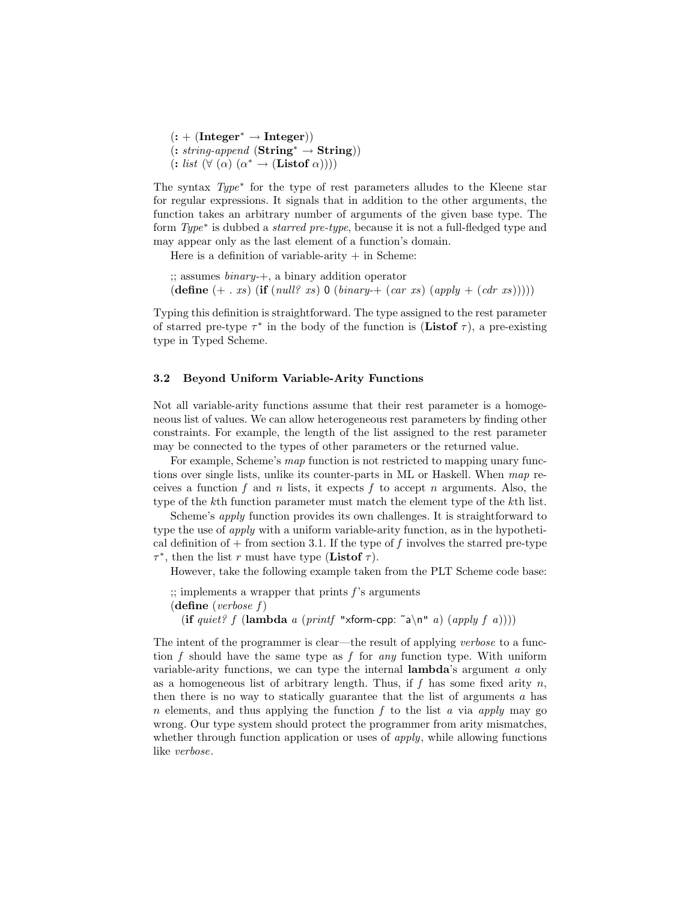$(: + (Integer^* \rightarrow Integer))$  $(: string\text{-}append~(\mathbf{String}^* \rightarrow \mathbf{String}))$  $(: list (\forall (\alpha) (\alpha^* \rightarrow (Listof \alpha))))$ 

The syntax Type<sup>\*</sup> for the type of rest parameters alludes to the Kleene star for regular expressions. It signals that in addition to the other arguments, the function takes an arbitrary number of arguments of the given base type. The form Type<sup>\*</sup> is dubbed a *starred pre-type*, because it is not a full-fledged type and may appear only as the last element of a function's domain.

Here is a definition of variable-arity  $+$  in Scheme:

 $\ddots$  assumes *binary* $+$ , a binary addition operator (define  $(+ \cdot xs)$  (if  ${\text{null}}^2\text{ }xs)$  0 (binary- $+$  (car xs)  ${\text{apply}} + {\text{cdr}}\text{ }xs)$ ))))

Typing this definition is straightforward. The type assigned to the rest parameter of starred pre-type  $\tau^*$  in the body of the function is (Listof  $\tau$ ), a pre-existing type in Typed Scheme.

### 3.2 Beyond Uniform Variable-Arity Functions

Not all variable-arity functions assume that their rest parameter is a homogeneous list of values. We can allow heterogeneous rest parameters by finding other constraints. For example, the length of the list assigned to the rest parameter may be connected to the types of other parameters or the returned value.

For example, Scheme's map function is not restricted to mapping unary functions over single lists, unlike its counter-parts in ML or Haskell. When map receives a function f and n lists, it expects f to accept n arguments. Also, the type of the kth function parameter must match the element type of the kth list.

Scheme's apply function provides its own challenges. It is straightforward to type the use of apply with a uniform variable-arity function, as in the hypothetical definition of  $+$  from section 3.1. If the type of f involves the starred pre-type  $\tau^*$ , then the list r must have type (Listof  $\tau$ ).

However, take the following example taken from the PLT Scheme code base:

 $\gamma$ ; implements a wrapper that prints f's arguments

 $(\text{define } (verpose f))$ 

(if quiet? f (lambda a (printf "xform-cpp: ~a\n" a)  $(apply f a))$ )

The intent of the programmer is clear—the result of applying verbose to a function f should have the same type as f for any function type. With uniform variable-arity functions, we can type the internal **lambda**'s argument  $a$  only as a homogeneous list of arbitrary length. Thus, if  $f$  has some fixed arity  $n$ , then there is no way to statically guarantee that the list of arguments  $\alpha$  has  $n$  elements, and thus applying the function  $f$  to the list  $a$  via apply may go wrong. Our type system should protect the programmer from arity mismatches, whether through function application or uses of *apply*, while allowing functions like verbose.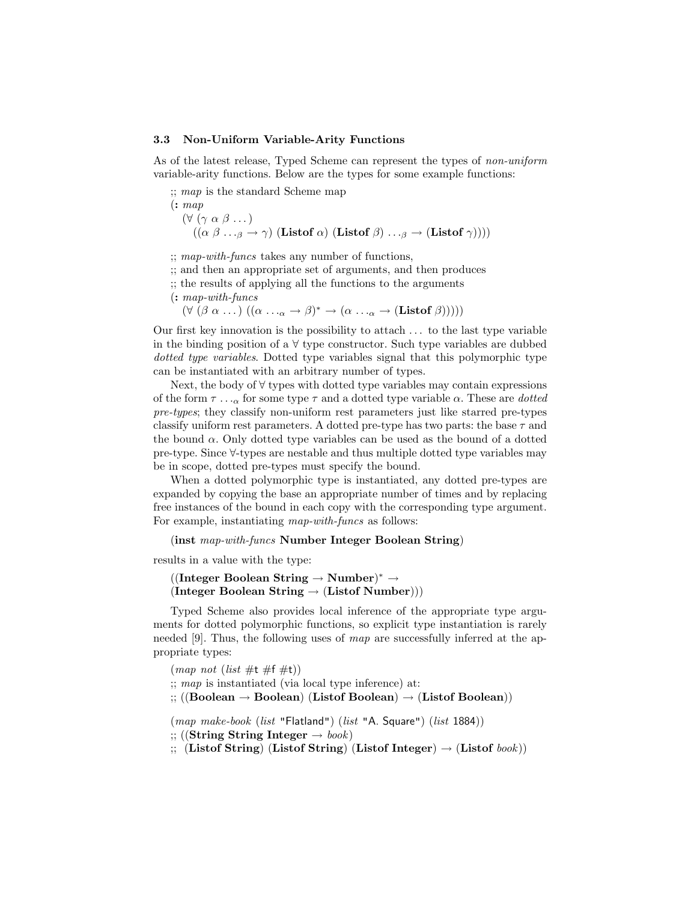#### 3.3 Non-Uniform Variable-Arity Functions

As of the latest release, Typed Scheme can represent the types of non-uniform variable-arity functions. Below are the types for some example functions:

- $\therefore$  map is the standard Scheme map (: map  $(\forall (\gamma \alpha \beta \dots))$  $((\alpha \ \beta \ldots_{\beta} \rightarrow \gamma)$  (Listof  $\alpha)$  (Listof  $\beta) \ldots_{\beta} \rightarrow$  (Listof  $\gamma$ ))))
- ;; map-with-funcs takes any number of functions,
- ;; and then an appropriate set of arguments, and then produces
- ;; the results of applying all the functions to the arguments
- (: map-with-funcs

 $(\forall (\beta \alpha \dots)((\alpha \dots \alpha \rightarrow \beta)^* \rightarrow (\alpha \dots \alpha \rightarrow (Listof \beta))))))$ 

Our first key innovation is the possibility to attach . . . to the last type variable in the binding position of a ∀ type constructor. Such type variables are dubbed dotted type variables. Dotted type variables signal that this polymorphic type can be instantiated with an arbitrary number of types.

Next, the body of ∀ types with dotted type variables may contain expressions of the form  $\tau \ldots_{\alpha}$  for some type  $\tau$  and a dotted type variable  $\alpha$ . These are *dotted* pre-types; they classify non-uniform rest parameters just like starred pre-types classify uniform rest parameters. A dotted pre-type has two parts: the base  $\tau$  and the bound  $\alpha$ . Only dotted type variables can be used as the bound of a dotted pre-type. Since ∀-types are nestable and thus multiple dotted type variables may be in scope, dotted pre-types must specify the bound.

When a dotted polymorphic type is instantiated, any dotted pre-types are expanded by copying the base an appropriate number of times and by replacing free instances of the bound in each copy with the corresponding type argument. For example, instantiating map-with-funcs as follows:

#### (inst map-with-funcs Number Integer Boolean String)

results in a value with the type:

```
((\text{Integer Boolean String} \rightarrow \text{Number})^* \rightarrow(Integer Boolean String \rightarrow (Listof Number))
```
Typed Scheme also provides local inference of the appropriate type arguments for dotted polymorphic functions, so explicit type instantiation is rarely needed [9]. Thus, the following uses of map are successfully inferred at the appropriate types:

 $(map \; not \; (list \#t \#f \#t))$ ;; map is instantiated (via local type inference) at: ;; ((Boolean → Boolean) (Listof Boolean) → (Listof Boolean))  $(map \ make-book (list "Flatland") (list "A. Square") (list 1884))$  $\cdot$ ;; ((String String Integer  $\rightarrow \text{book}$ )  $\langle$ ;; (Listof String) (Listof String) (Listof Integer)  $\rightarrow$  (Listof book))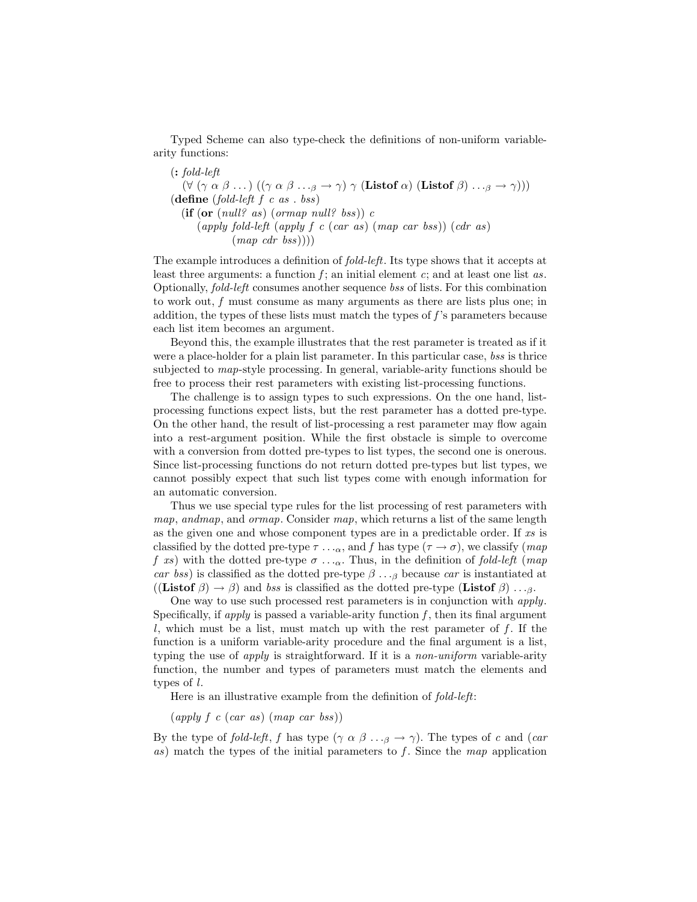Typed Scheme can also type-check the definitions of non-uniform variablearity functions:

(: fold-left  $(\forall (\gamma \alpha \beta \dots) ((\gamma \alpha \beta \dots_{\beta} \rightarrow \gamma) \gamma (\text{Listof } \alpha) (\text{Listof } \beta) \dots_{\beta} \rightarrow \gamma)))$ (define (fold-left  $f \, c \, as \, . \, bss$ ) (if (or (null? as) (ormap null? bss)) c  $(apply fold-left (apply f c (car as) (map car bss)) (cdr as)$  $(map \; cdr \; bss)))$ 

The example introduces a definition of *fold-left*. Its type shows that it accepts at least three arguments: a function  $f$ ; an initial element  $c$ ; and at least one list  $as$ . Optionally, fold-left consumes another sequence bss of lists. For this combination to work out, f must consume as many arguments as there are lists plus one; in addition, the types of these lists must match the types of  $f$ 's parameters because each list item becomes an argument.

Beyond this, the example illustrates that the rest parameter is treated as if it were a place-holder for a plain list parameter. In this particular case, bss is thrice subjected to map-style processing. In general, variable-arity functions should be free to process their rest parameters with existing list-processing functions.

The challenge is to assign types to such expressions. On the one hand, listprocessing functions expect lists, but the rest parameter has a dotted pre-type. On the other hand, the result of list-processing a rest parameter may flow again into a rest-argument position. While the first obstacle is simple to overcome with a conversion from dotted pre-types to list types, the second one is onerous. Since list-processing functions do not return dotted pre-types but list types, we cannot possibly expect that such list types come with enough information for an automatic conversion.

Thus we use special type rules for the list processing of rest parameters with map, and map, and ormap. Consider map, which returns a list of the same length as the given one and whose component types are in a predictable order. If xs is classified by the dotted pre-type  $\tau \ldots_{\alpha}$ , and f has type  $(\tau \rightarrow \sigma)$ , we classify (map f xs) with the dotted pre-type  $\sigma \ldots_{\alpha}$ . Thus, in the definition of fold-left (map car bss) is classified as the dotted pre-type  $\beta \dots \beta$  because car is instantiated at ((Listof  $\beta$ )  $\rightarrow \beta$ ) and bss is classified as the dotted pre-type (Listof  $\beta$ ) . . .g.

One way to use such processed rest parameters is in conjunction with apply. Specifically, if apply is passed a variable-arity function  $f$ , then its final argument l, which must be a list, must match up with the rest parameter of  $f$ . If the function is a uniform variable-arity procedure and the final argument is a list, typing the use of *apply* is straightforward. If it is a *non-uniform* variable-arity function, the number and types of parameters must match the elements and types of l.

Here is an illustrative example from the definition of fold-left:

 $(apply f c (car as) (map car bs))$ 

By the type of fold-left, f has type  $(\gamma \alpha \beta ..._{\beta} \rightarrow \gamma)$ . The types of c and (car as) match the types of the initial parameters to  $f$ . Since the map application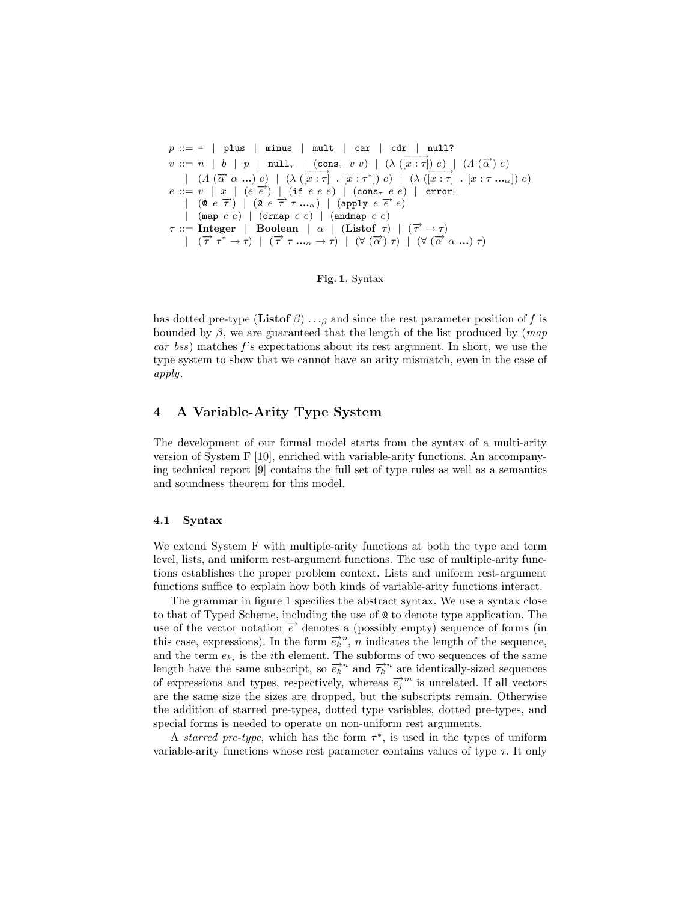```
p ::= = | plus | minus | mult | car | cdr | null?
 v ::= n \mid b \mid p \mid \text{null}_{\tau} \mid (\cos \tau, v \ v) \mid (\lambda (\vec{x} : \tau)) \ e) \mid (A (\vec{\alpha}) \ e)\left[ \begin{array}{c} (A \overrightarrow{\alpha} \alpha \ldots) e) \end{array} \right] \cdot \left( \begin{array}{c} (A \overrightarrow{\alpha} \cdots) e) \end{array} \right] \cdot \left( \begin{array}{c} (A \overrightarrow{\alpha} \cdots) e) \end{array} \right] \cdot \left[ \begin{array}{c} (A \overrightarrow{\alpha} \cdots) e) \end{array} \right] \cdot \left[ \begin{array}{c} (A \overrightarrow{\alpha} \cdots) e) \end{array} \right]e ::= v \mid x \mid (e \overrightarrow{e}) \mid (if e e e) \mid (cons_{\tau} e e) \mid error_{L}( (e \overrightarrow{\tau}) ) (e \overrightarrow{\tau} \tau ...<sub>a</sub>) ) (apply e \overrightarrow{e} e)
        \begin{array}{|c|c|c|c|c|}\hline &\text{(map }{\small e}{\small e}) &\text{(orange }{\small e}) &\text{(andmap }{\small e}{\small e})\\ \hline \end{array}\tau ::= Integer | Boolean | \alpha | (Listof \tau) | (\vec{\tau} \rightarrow \tau)
          |\quad (\overrightarrow{\tau} \ \tau^* \to \tau) \ \mid (\overrightarrow{\tau} \ \tau \ ..._{\alpha} \to \tau) \ \mid (\forall (\overrightarrow{\alpha}) \ \tau) \ \mid (\forall (\overrightarrow{\alpha} \ \alpha \ ...) \ \tau)
```
Fig. 1. Syntax

has dotted pre-type (Listof  $\beta$ ) ...  $\beta$  and since the rest parameter position of f is bounded by  $\beta$ , we are guaranteed that the length of the list produced by (map  $car$  bss) matches f's expectations about its rest argument. In short, we use the type system to show that we cannot have an arity mismatch, even in the case of apply.

# 4 A Variable-Arity Type System

The development of our formal model starts from the syntax of a multi-arity version of System F [10], enriched with variable-arity functions. An accompanying technical report [9] contains the full set of type rules as well as a semantics and soundness theorem for this model.

## 4.1 Syntax

We extend System F with multiple-arity functions at both the type and term level, lists, and uniform rest-argument functions. The use of multiple-arity functions establishes the proper problem context. Lists and uniform rest-argument functions suffice to explain how both kinds of variable-arity functions interact.

The grammar in figure 1 specifies the abstract syntax. We use a syntax close to that of Typed Scheme, including the use of @ to denote type application. The use of the vector notation  $\overrightarrow{e}$  denotes a (possibly empty) sequence of forms (in this case, expressions). In the form  $\vec{e}_k^{\,n}$ , *n* indicates the length of the sequence, and the term  $e_{k_i}$  is the *i*<sup>th</sup> element. The subforms of two sequences of the same length have the same subscript, so  $\overrightarrow{e_k}^n$  and  $\overrightarrow{\tau_k}^n$  are identically-sized sequences of expressions and types, respectively, whereas  $\vec{e}_i^m$  is unrelated. If all vectors are the same size the sizes are dropped, but the subscripts remain. Otherwise the addition of starred pre-types, dotted type variables, dotted pre-types, and special forms is needed to operate on non-uniform rest arguments.

A starred pre-type, which has the form  $\tau^*$ , is used in the types of uniform variable-arity functions whose rest parameter contains values of type  $\tau$ . It only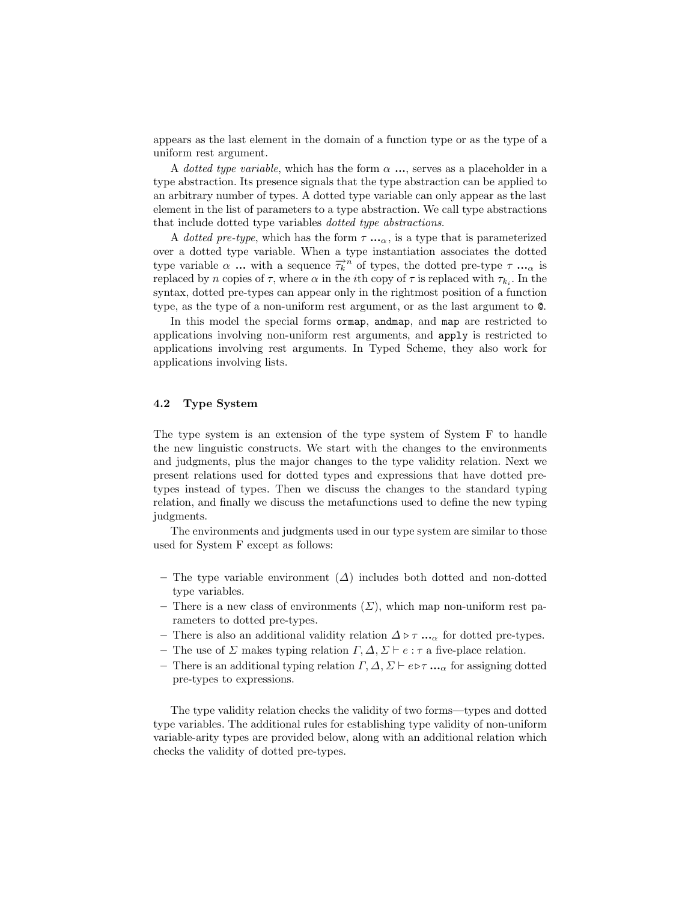appears as the last element in the domain of a function type or as the type of a uniform rest argument.

A dotted type variable, which has the form  $\alpha$  ..., serves as a placeholder in a type abstraction. Its presence signals that the type abstraction can be applied to an arbitrary number of types. A dotted type variable can only appear as the last element in the list of parameters to a type abstraction. We call type abstractions that include dotted type variables dotted type abstractions.

A dotted pre-type, which has the form  $\tau \dots_{\alpha}$ , is a type that is parameterized over a dotted type variable. When a type instantiation associates the dotted type variable  $\alpha$  ... with a sequence  $\overrightarrow{\tau_k}^n$  of types, the dotted pre-type  $\tau$  ... $\alpha$  is replaced by n copies of  $\tau$ , where  $\alpha$  in the *i*<sup>th</sup> copy of  $\tau$  is replaced with  $\tau_{k_i}$ . In the syntax, dotted pre-types can appear only in the rightmost position of a function type, as the type of a non-uniform rest argument, or as the last argument to @.

In this model the special forms ormap, andmap, and map are restricted to applications involving non-uniform rest arguments, and apply is restricted to applications involving rest arguments. In Typed Scheme, they also work for applications involving lists.

### 4.2 Type System

The type system is an extension of the type system of System F to handle the new linguistic constructs. We start with the changes to the environments and judgments, plus the major changes to the type validity relation. Next we present relations used for dotted types and expressions that have dotted pretypes instead of types. Then we discuss the changes to the standard typing relation, and finally we discuss the metafunctions used to define the new typing judgments.

The environments and judgments used in our type system are similar to those used for System F except as follows:

- The type variable environment  $(\Delta)$  includes both dotted and non-dotted type variables.
- There is a new class of environments  $(\Sigma)$ , which map non-uniform rest parameters to dotted pre-types.
- There is also an additional validity relation  $\Delta \triangleright \tau ..._{\alpha}$  for dotted pre-types.
- The use of  $\Sigma$  makes typing relation  $\Gamma$ ,  $\Delta$ ,  $\Sigma \vdash e : \tau$  a five-place relation.
- There is an additional typing relation  $\Gamma, \Delta, \Sigma \vdash e \triangleright \tau \dots$  for assigning dotted pre-types to expressions.

The type validity relation checks the validity of two forms—types and dotted type variables. The additional rules for establishing type validity of non-uniform variable-arity types are provided below, along with an additional relation which checks the validity of dotted pre-types.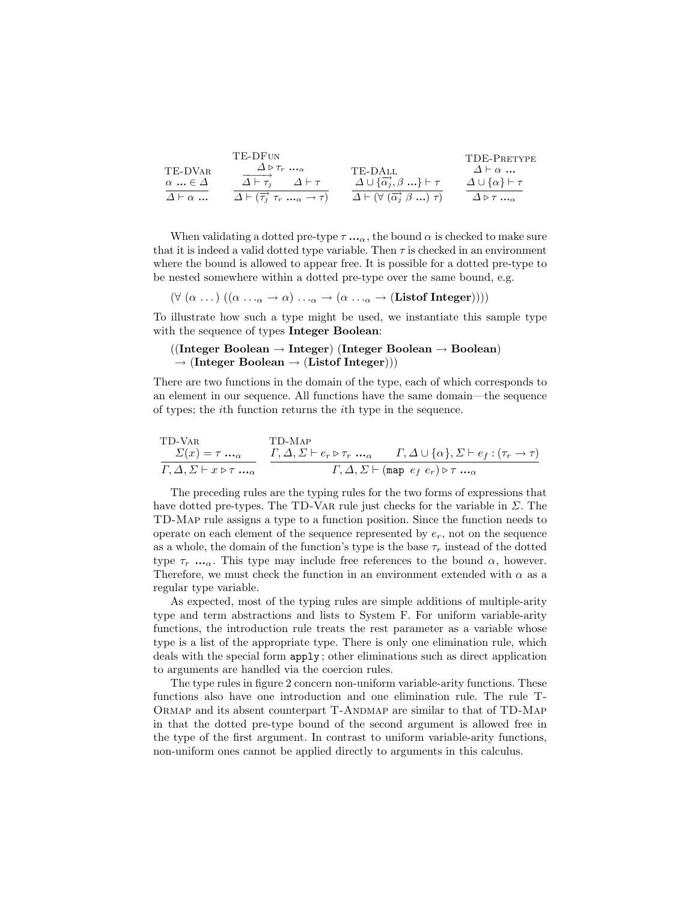|                        | TE-DFUN                                                                       |                                                                            | TDE-PRETYPE                          |
|------------------------|-------------------------------------------------------------------------------|----------------------------------------------------------------------------|--------------------------------------|
| TE-DVAR                | $\Delta \triangleright \tau_r \dots$                                          | TE-DALL                                                                    | $\Delta \vdash \alpha$               |
| $\alpha$ $\in \Delta$  | $\Delta \vdash \tau_i \qquad \Delta \vdash \tau$                              | $\Delta \cup {\{\overrightarrow{\alpha_i}, \beta \dots \}} \vdash \tau$    | $\Delta \cup {\alpha}$ $\vdash \tau$ |
| $\Delta \vdash \alpha$ | $\Delta \vdash (\overrightarrow{\tau_i} \ \tau_r \  \alpha \rightarrow \tau)$ | $\Delta \vdash (\forall (\overrightarrow{\alpha_i} \ \beta \dots) \ \tau)$ | $\Delta \triangleright \tau $        |

When validating a dotted pre-type  $\tau \cdot \cdot \cdot \cdot$ , the bound  $\alpha$  is checked to make sure that it is indeed a valid dotted type variable. Then  $\tau$  is checked in an environment where the bound is allowed to appear free. It is possible for a dotted pre-type to be nested somewhere within a dotted pre-type over the same bound, e.g.

 $(\forall (\alpha \dots)((\alpha \dots \alpha \rightarrow \alpha) \dots \alpha \rightarrow (\alpha \dots \alpha \rightarrow (ListofInteger))))$ 

To illustrate how such a type might be used, we instantiate this sample type with the sequence of types Integer Boolean:

## $((\text{Integer Boolean} \rightarrow \text{Integer}) (\text{Integer Boolean} \rightarrow \text{Boolean})$  $\rightarrow$  (Integer Boolean  $\rightarrow$  (Listof Integer)))

There are two functions in the domain of the type, each of which corresponds to an element in our sequence. All functions have the same domain—the sequence of types; the ith function returns the ith type in the sequence.

$$
\frac{\text{TD-Var}}{\Gamma, \Delta, \Sigma \vdash x \triangleright \tau \ldots_{\alpha}} \quad \frac{\text{TD-MAP}}{\Gamma, \Delta, \Sigma \vdash e_r \triangleright \tau_r \ldots_{\alpha}} \quad \frac{\Gamma, \Delta \cup \{\alpha\}, \Sigma \vdash e_f : (\tau_r \to \tau)}{\Gamma, \Delta, \Sigma \vdash (\text{map } e_f \ e_r) \triangleright \tau \ldots_{\alpha}}
$$

The preceding rules are the typing rules for the two forms of expressions that have dotted pre-types. The TD-VAR rule just checks for the variable in  $\Sigma$ . The TD-Map rule assigns a type to a function position. Since the function needs to operate on each element of the sequence represented by  $e_r$ , not on the sequence as a whole, the domain of the function's type is the base  $\tau_r$  instead of the dotted type  $\tau_r$  ....<sub>α</sub>. This type may include free references to the bound  $\alpha$ , however. Therefore, we must check the function in an environment extended with  $\alpha$  as a regular type variable.

As expected, most of the typing rules are simple additions of multiple-arity type and term abstractions and lists to System F. For uniform variable-arity functions, the introduction rule treats the rest parameter as a variable whose type is a list of the appropriate type. There is only one elimination rule, which deals with the special form apply ; other eliminations such as direct application to arguments are handled via the coercion rules.

The type rules in figure 2 concern non-uniform variable-arity functions. These functions also have one introduction and one elimination rule. The rule T-ORMAP and its absent counterpart T-ANDMAP are similar to that of TD-MAP in that the dotted pre-type bound of the second argument is allowed free in the type of the first argument. In contrast to uniform variable-arity functions, non-uniform ones cannot be applied directly to arguments in this calculus.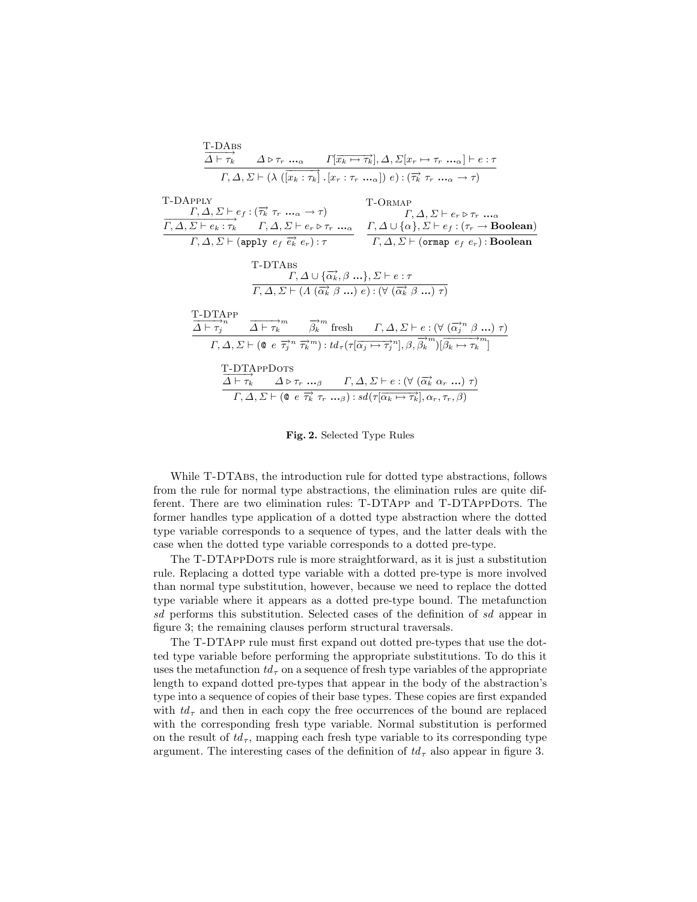| T-DABS   |                                                                                                                                              |                                                                                                                                                                                                                                                                                                                                |
|----------|----------------------------------------------------------------------------------------------------------------------------------------------|--------------------------------------------------------------------------------------------------------------------------------------------------------------------------------------------------------------------------------------------------------------------------------------------------------------------------------|
|          |                                                                                                                                              | $\Delta \vdash \tau_k \qquad \Delta \triangleright \tau_r \ldots_\alpha \qquad \Gamma[\overline{x_k \mapsto \tau_k}], \Delta, \Sigma[x_r \mapsto \tau_r \ldots_\alpha] \vdash e : \tau$                                                                                                                                        |
|          |                                                                                                                                              | $\Gamma, \Delta, \Sigma \vdash (\lambda ([x_k : \tau_k] \cdot [x_r : \tau_r \dots \alpha]) e) : (\overrightarrow{\tau_k} \tau_r \dots \alpha \rightarrow \tau)$                                                                                                                                                                |
| T-DAPPLY |                                                                                                                                              | T-Ormap                                                                                                                                                                                                                                                                                                                        |
|          |                                                                                                                                              |                                                                                                                                                                                                                                                                                                                                |
|          |                                                                                                                                              | $\frac{\Gamma, \Delta, \Sigma \vdash e_f : (\overrightarrow{\tau_k} \ \tau_r \ \dots \alpha \rightarrow \tau)}{\Gamma, \Delta, \Sigma \vdash e_k : \tau_k}$ $\Gamma, \Delta, \Sigma \vdash e_r \triangleright \tau_r \ \dots \alpha$ $\Gamma, \Delta \cup \{\alpha\}, \Sigma \vdash e_f : (\tau_r \rightarrow \text{Boolean})$ |
|          | $\Gamma, \Delta, \Sigma \vdash$ (apply $e_f \stackrel{\longrightarrow}{e_k} e_r$ ): $\tau$                                                   | $\Gamma, \Delta, \Sigma \vdash ($ ormap $e_f \ e_r)$ : Boolean                                                                                                                                                                                                                                                                 |
|          | T-DTA <sub>BS</sub><br>$\Gamma, \Delta \cup \{\overrightarrow{\alpha_k}, \beta \ldots \}, \Sigma \vdash e : \tau$                            |                                                                                                                                                                                                                                                                                                                                |
|          | $\Gamma, \Delta, \Sigma \vdash (\Lambda (\overrightarrow{\alpha_k} \beta \dots) e) : (\forall (\overrightarrow{\alpha_k} \beta \dots) \tau)$ |                                                                                                                                                                                                                                                                                                                                |
| T-DTAPP  |                                                                                                                                              | $\overrightarrow{\Delta \vdash \tau_i}$ $\overrightarrow{\Delta \vdash \tau_k}$ $\overrightarrow{\beta_k}^m$ fresh $\Gamma, \Delta, \Sigma \vdash e : (\forall (\overrightarrow{\alpha_j}^n \ \beta \dots) \ \tau)$                                                                                                            |
|          |                                                                                                                                              | $\Gamma, \Delta, \Sigma \vdash (\mathbf{0} \ e \ \overrightarrow{\tau_j}^n \ \overrightarrow{\tau_k}^m) : td_{\tau}(\tau   \overrightarrow{\alpha_i \mapsto \tau_i}^n  , \beta, \overrightarrow{\beta_k}^m)   \overrightarrow{\beta_k \mapsto \tau_k}^m  $                                                                     |
|          | T-DTAPPDOTS                                                                                                                                  |                                                                                                                                                                                                                                                                                                                                |
|          |                                                                                                                                              | $\overrightarrow{\Delta \vdash \tau_k}$ $\Delta \triangleright \tau_r \dots \beta$ $\Gamma, \Delta, \Sigma \vdash e : (\forall (\overrightarrow{\alpha_k} \alpha_r \dots) \tau)$                                                                                                                                               |
|          |                                                                                                                                              | $\Gamma, \Delta, \Sigma \vdash (\mathbf{0} \in \overrightarrow{\tau_k} \tau_r \dots) : sd(\tau[\overrightarrow{\alpha_k \mapsto \tau_k}], \alpha_r, \tau_r, \beta)$                                                                                                                                                            |

Fig. 2. Selected Type Rules

While T-DTABS, the introduction rule for dotted type abstractions, follows from the rule for normal type abstractions, the elimination rules are quite different. There are two elimination rules: T-DTAPP and T-DTAPPDOTS. The former handles type application of a dotted type abstraction where the dotted type variable corresponds to a sequence of types, and the latter deals with the case when the dotted type variable corresponds to a dotted pre-type.

The T-DTAppDots rule is more straightforward, as it is just a substitution rule. Replacing a dotted type variable with a dotted pre-type is more involved than normal type substitution, however, because we need to replace the dotted type variable where it appears as a dotted pre-type bound. The metafunction sd performs this substitution. Selected cases of the definition of sd appear in figure 3; the remaining clauses perform structural traversals.

The T-DTApp rule must first expand out dotted pre-types that use the dotted type variable before performing the appropriate substitutions. To do this it uses the metafunction  $td_{\tau}$  on a sequence of fresh type variables of the appropriate length to expand dotted pre-types that appear in the body of the abstraction's type into a sequence of copies of their base types. These copies are first expanded with  $td_{\tau}$  and then in each copy the free occurrences of the bound are replaced with the corresponding fresh type variable. Normal substitution is performed on the result of  $td_{\tau}$ , mapping each fresh type variable to its corresponding type argument. The interesting cases of the definition of  $td_{\tau}$  also appear in figure 3.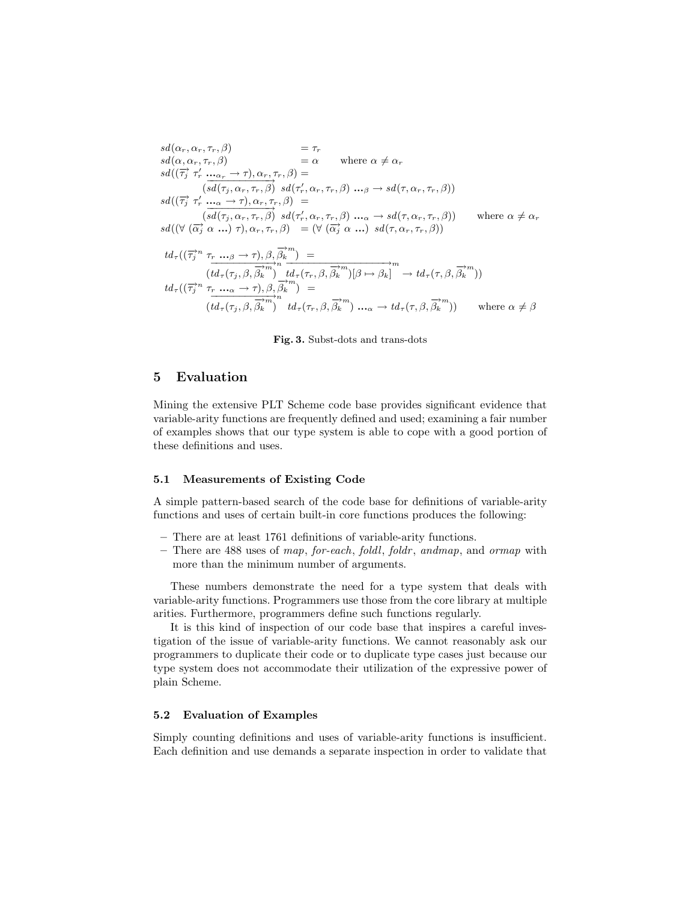$sd(\alpha_r, \alpha_r, \tau_r, \beta) = \tau_r$  $sd(\alpha, \alpha_r, \tau_r, \beta) = \alpha$  where  $\alpha \neq \alpha_r$ <br>  $sd((\overrightarrow{\tau_j} \ \tau_r' \dots \tau_{\alpha_r} \to \tau), \alpha_r, \tau_r, \beta) =$  $\frac{m a_r}{\left(s d(\tau_j, \alpha_r, \tau_r, \beta) \right)} \frac{d(\tau_r', \alpha_r, \tau_r, \beta)}{sd(\tau_r', \alpha_r, \tau_r, \beta) \dots \beta} \rightarrow sd(\tau, \alpha_r, \tau_r, \beta)$  $sd((\overrightarrow{\tau_j}\ \tau'_r\ ...\_\alpha \to \tau), \alpha_r, \tau_r, \beta) =$  $\frac{d}{ds}(\overline{s_d(\tau_j, \alpha_r, \tau_r, \beta)}, sd(\tau'_r, \alpha_r, \tau_r, \beta) \dots \alpha \rightarrow sd(\tau, \alpha_r, \tau_r, \beta))$  where  $\alpha \neq \alpha_r$  $sd((\forall (\overrightarrow{\alpha_j} \alpha ... \gamma) \tau), \alpha_r, \tau_r, \beta) = (\forall (\overrightarrow{\alpha_j} \alpha ... \gamma) sd(\tau, \alpha_r, \tau_r, \beta))$ 

$$
td_{\tau}((\overrightarrow{\tau_j}^n \tau_r \dots \overrightarrow{\beta} \rightarrow \tau), \beta, \overrightarrow{\beta_k}^m) =
$$
  
\n
$$
(td_{\tau}(\tau_j, \beta, \overrightarrow{\beta_k}^m) \cdot td_{\tau}(\tau_r, \beta, \overrightarrow{\beta_k}^m)[\beta \mapsto \beta_k]^m \rightarrow td_{\tau}(\tau, \beta, \overrightarrow{\beta_k}^m))
$$
  
\n
$$
td_{\tau}((\overrightarrow{\tau_j}^n \tau_r \dots \overrightarrow{\alpha} \rightarrow \tau), \beta, \overrightarrow{\beta_k}^m) =
$$
  
\n
$$
(td_{\tau}(\tau_j, \beta, \overrightarrow{\beta_k}^m) \cdot td_{\tau}(\tau_r, \beta, \overrightarrow{\beta_k}^m) \dots \overrightarrow{\alpha} \rightarrow td_{\tau}(\tau, \beta, \overrightarrow{\beta_k}^m)) \quad \text{where } \alpha \neq \beta
$$

Fig. 3. Subst-dots and trans-dots

# 5 Evaluation

Mining the extensive PLT Scheme code base provides significant evidence that variable-arity functions are frequently defined and used; examining a fair number of examples shows that our type system is able to cope with a good portion of these definitions and uses.

### 5.1 Measurements of Existing Code

A simple pattern-based search of the code base for definitions of variable-arity functions and uses of certain built-in core functions produces the following:

- There are at least 1761 definitions of variable-arity functions.
- There are 488 uses of map, for-each, foldl, foldr, andmap, and ormap with more than the minimum number of arguments.

These numbers demonstrate the need for a type system that deals with variable-arity functions. Programmers use those from the core library at multiple arities. Furthermore, programmers define such functions regularly.

It is this kind of inspection of our code base that inspires a careful investigation of the issue of variable-arity functions. We cannot reasonably ask our programmers to duplicate their code or to duplicate type cases just because our type system does not accommodate their utilization of the expressive power of plain Scheme.

### 5.2 Evaluation of Examples

Simply counting definitions and uses of variable-arity functions is insufficient. Each definition and use demands a separate inspection in order to validate that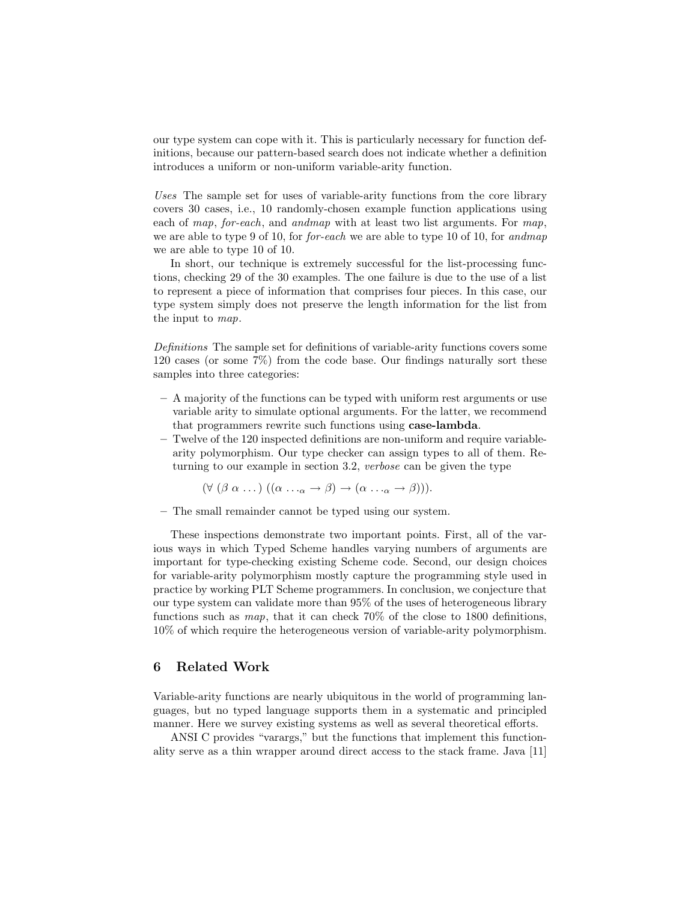our type system can cope with it. This is particularly necessary for function definitions, because our pattern-based search does not indicate whether a definition introduces a uniform or non-uniform variable-arity function.

Uses The sample set for uses of variable-arity functions from the core library covers 30 cases, i.e., 10 randomly-chosen example function applications using each of map, for-each, and andmap with at least two list arguments. For map, we are able to type 9 of 10, for *for-each* we are able to type 10 of 10, for *andmap* we are able to type 10 of 10.

In short, our technique is extremely successful for the list-processing functions, checking 29 of the 30 examples. The one failure is due to the use of a list to represent a piece of information that comprises four pieces. In this case, our type system simply does not preserve the length information for the list from the input to map.

Definitions The sample set for definitions of variable-arity functions covers some 120 cases (or some 7%) from the code base. Our findings naturally sort these samples into three categories:

- A majority of the functions can be typed with uniform rest arguments or use variable arity to simulate optional arguments. For the latter, we recommend that programmers rewrite such functions using case-lambda.
- Twelve of the 120 inspected definitions are non-uniform and require variablearity polymorphism. Our type checker can assign types to all of them. Returning to our example in section 3.2, verbose can be given the type

$$
(\forall (\beta \alpha \dots) ((\alpha \dots_{\alpha} \rightarrow \beta) \rightarrow (\alpha \dots_{\alpha} \rightarrow \beta))).
$$

– The small remainder cannot be typed using our system.

These inspections demonstrate two important points. First, all of the various ways in which Typed Scheme handles varying numbers of arguments are important for type-checking existing Scheme code. Second, our design choices for variable-arity polymorphism mostly capture the programming style used in practice by working PLT Scheme programmers. In conclusion, we conjecture that our type system can validate more than 95% of the uses of heterogeneous library functions such as map, that it can check 70% of the close to 1800 definitions, 10% of which require the heterogeneous version of variable-arity polymorphism.

## 6 Related Work

Variable-arity functions are nearly ubiquitous in the world of programming languages, but no typed language supports them in a systematic and principled manner. Here we survey existing systems as well as several theoretical efforts.

ANSI C provides "varargs," but the functions that implement this functionality serve as a thin wrapper around direct access to the stack frame. Java [11]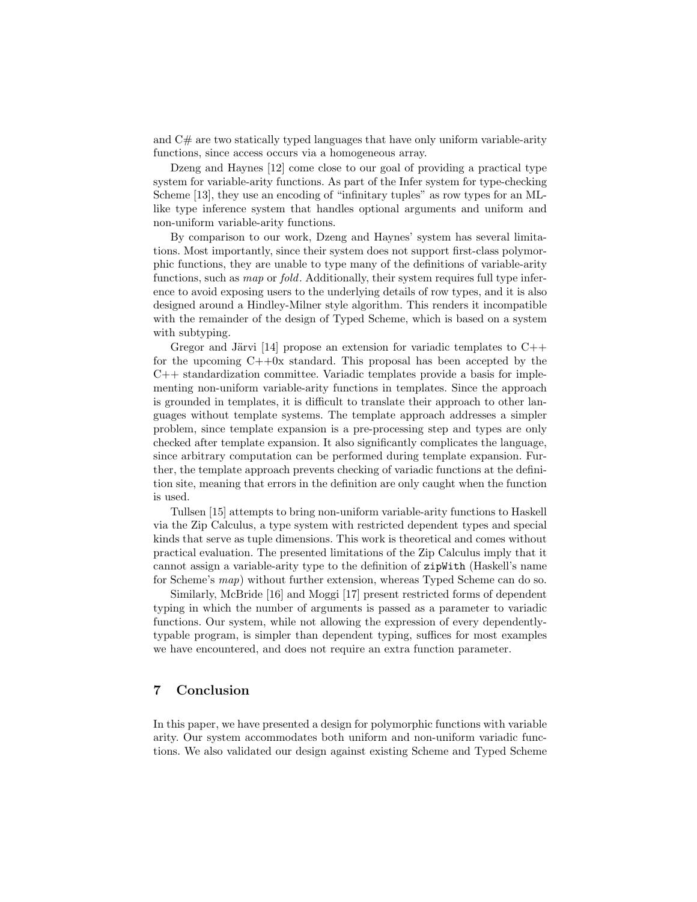and  $C#$  are two statically typed languages that have only uniform variable-arity functions, since access occurs via a homogeneous array.

Dzeng and Haynes [12] come close to our goal of providing a practical type system for variable-arity functions. As part of the Infer system for type-checking Scheme [13], they use an encoding of "infinitary tuples" as row types for an MLlike type inference system that handles optional arguments and uniform and non-uniform variable-arity functions.

By comparison to our work, Dzeng and Haynes' system has several limitations. Most importantly, since their system does not support first-class polymorphic functions, they are unable to type many of the definitions of variable-arity functions, such as *map* or *fold*. Additionally, their system requires full type inference to avoid exposing users to the underlying details of row types, and it is also designed around a Hindley-Milner style algorithm. This renders it incompatible with the remainder of the design of Typed Scheme, which is based on a system with subtyping.

Gregor and Järvi [14] propose an extension for variadic templates to  $C++$ for the upcoming C++0x standard. This proposal has been accepted by the C++ standardization committee. Variadic templates provide a basis for implementing non-uniform variable-arity functions in templates. Since the approach is grounded in templates, it is difficult to translate their approach to other languages without template systems. The template approach addresses a simpler problem, since template expansion is a pre-processing step and types are only checked after template expansion. It also significantly complicates the language, since arbitrary computation can be performed during template expansion. Further, the template approach prevents checking of variadic functions at the definition site, meaning that errors in the definition are only caught when the function is used.

Tullsen [15] attempts to bring non-uniform variable-arity functions to Haskell via the Zip Calculus, a type system with restricted dependent types and special kinds that serve as tuple dimensions. This work is theoretical and comes without practical evaluation. The presented limitations of the Zip Calculus imply that it cannot assign a variable-arity type to the definition of zipWith (Haskell's name for Scheme's map) without further extension, whereas Typed Scheme can do so.

Similarly, McBride [16] and Moggi [17] present restricted forms of dependent typing in which the number of arguments is passed as a parameter to variadic functions. Our system, while not allowing the expression of every dependentlytypable program, is simpler than dependent typing, suffices for most examples we have encountered, and does not require an extra function parameter.

# 7 Conclusion

In this paper, we have presented a design for polymorphic functions with variable arity. Our system accommodates both uniform and non-uniform variadic functions. We also validated our design against existing Scheme and Typed Scheme